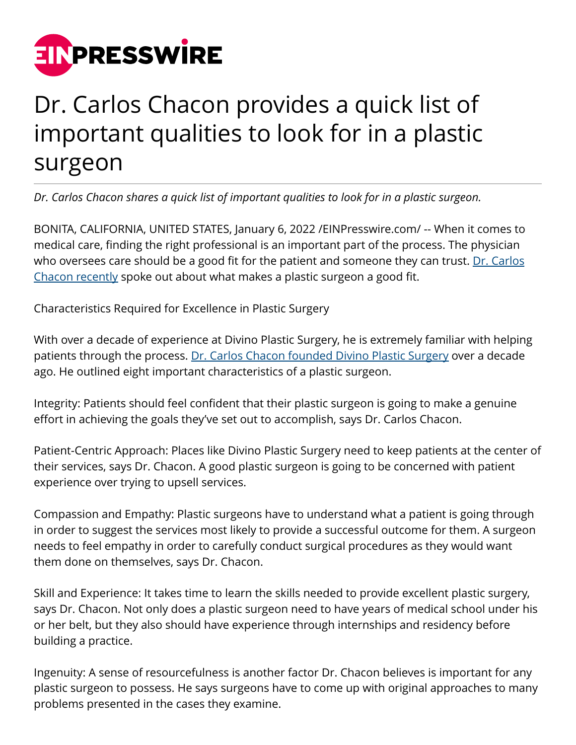

## Dr. Carlos Chacon provides a quick list of important qualities to look for in a plastic surgeon

*Dr. Carlos Chacon shares a quick list of important qualities to look for in a plastic surgeon.*

BONITA, CALIFORNIA, UNITED STATES, January 6, 2022 [/EINPresswire.com](http://www.einpresswire.com)/ -- When it comes to medical care, finding the right professional is an important part of the process. The physician who oversees care should be a good fit for the patient and someone they can trust. [Dr. Carlos](https://scrippsmercyphysicianpartners.com/physician/carlos-o-chacon-md/) [Chacon recently](https://scrippsmercyphysicianpartners.com/physician/carlos-o-chacon-md/) spoke out about what makes a plastic surgeon a good fit.

Characteristics Required for Excellence in Plastic Surgery

With over a decade of experience at Divino Plastic Surgery, he is extremely familiar with helping patients through the process. [Dr. Carlos Chacon founded Divino Plastic Surgery](https://goo.gl/maps/HN3euS5YpuiGDa368) over a decade ago. He outlined eight important characteristics of a plastic surgeon.

Integrity: Patients should feel confident that their plastic surgeon is going to make a genuine effort in achieving the goals they've set out to accomplish, says Dr. Carlos Chacon.

Patient-Centric Approach: Places like Divino Plastic Surgery need to keep patients at the center of their services, says Dr. Chacon. A good plastic surgeon is going to be concerned with patient experience over trying to upsell services.

Compassion and Empathy: Plastic surgeons have to understand what a patient is going through in order to suggest the services most likely to provide a successful outcome for them. A surgeon needs to feel empathy in order to carefully conduct surgical procedures as they would want them done on themselves, says Dr. Chacon.

Skill and Experience: It takes time to learn the skills needed to provide excellent plastic surgery, says Dr. Chacon. Not only does a plastic surgeon need to have years of medical school under his or her belt, but they also should have experience through internships and residency before building a practice.

Ingenuity: A sense of resourcefulness is another factor Dr. Chacon believes is important for any plastic surgeon to possess. He says surgeons have to come up with original approaches to many problems presented in the cases they examine.